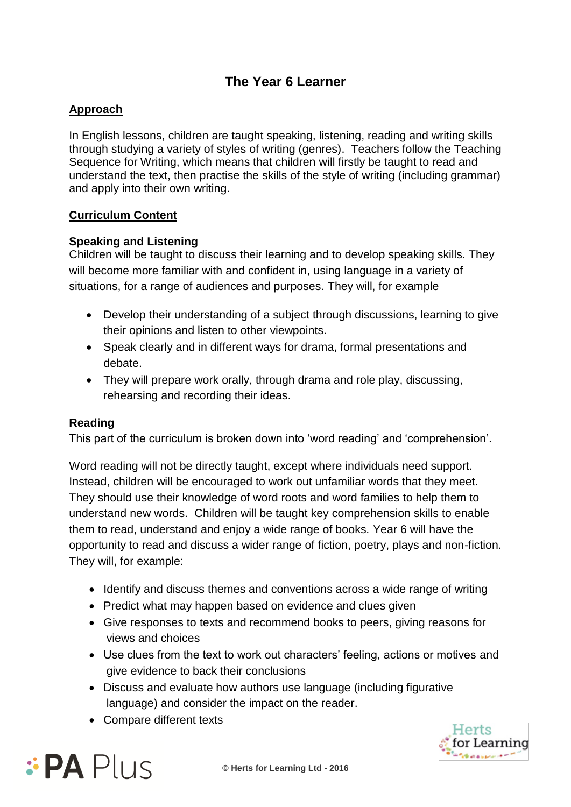# **The Year 6 Learner**

## **Approach**

In English lessons, children are taught speaking, listening, reading and writing skills through studying a variety of styles of writing (genres). Teachers follow the Teaching Sequence for Writing, which means that children will firstly be taught to read and understand the text, then practise the skills of the style of writing (including grammar) and apply into their own writing.

### **Curriculum Content**

### **Speaking and Listening**

Children will be taught to discuss their learning and to develop speaking skills. They will become more familiar with and confident in, using language in a variety of situations, for a range of audiences and purposes. They will, for example

- Develop their understanding of a subject through discussions, learning to give their opinions and listen to other viewpoints.
- Speak clearly and in different ways for drama, formal presentations and debate.
- They will prepare work orally, through drama and role play, discussing, rehearsing and recording their ideas.

#### **Reading**

This part of the curriculum is broken down into 'word reading' and 'comprehension'.

Word reading will not be directly taught, except where individuals need support. Instead, children will be encouraged to work out unfamiliar words that they meet. They should use their knowledge of word roots and word families to help them to understand new words. Children will be taught key comprehension skills to enable them to read, understand and enjoy a wide range of books. Year 6 will have the opportunity to read and discuss a wider range of fiction, poetry, plays and non-fiction. They will, for example:

- Identify and discuss themes and conventions across a wide range of writing
- Predict what may happen based on evidence and clues given
- Give responses to texts and recommend books to peers, giving reasons for views and choices
- Use clues from the text to work out characters' feeling, actions or motives and give evidence to back their conclusions
- Discuss and evaluate how authors use language (including figurative language) and consider the impact on the reader.
- Compare different texts